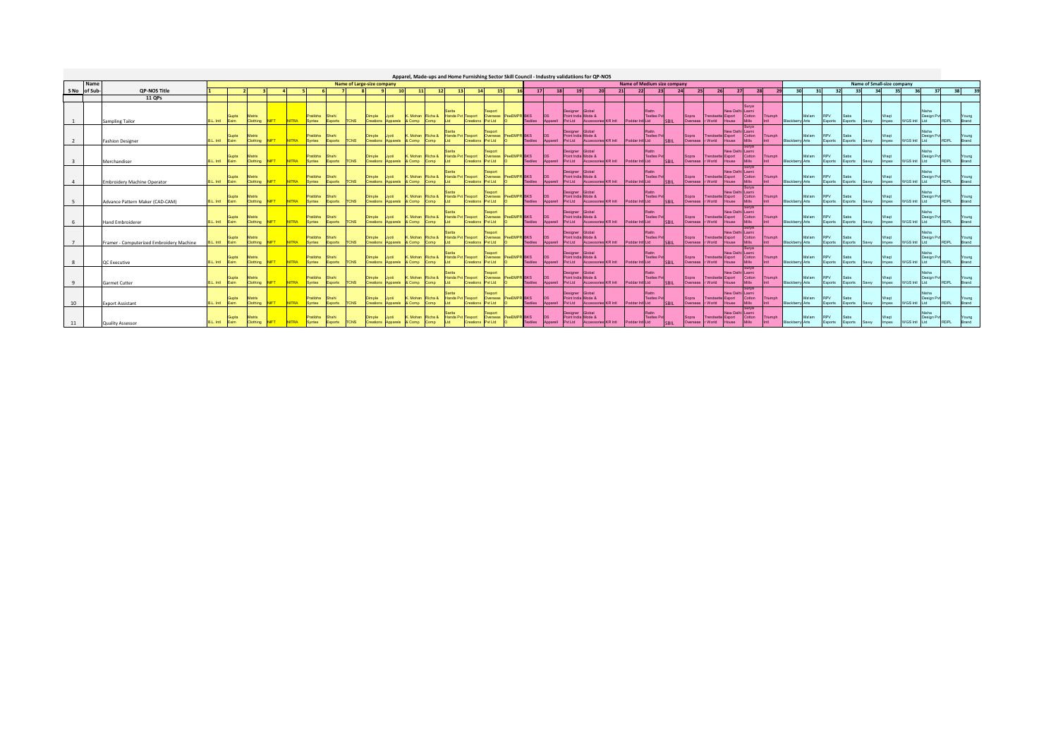|              |              |                                          |           |                      |                    |             |              |                    |                         |             |                                            |                 | Apparel, Made-ups and Home Furnishing Sector Skill Council - Industry validatiions for OP-NOS |                                   |           |                                      |                |                               |                       |                                                  |                                           |    |                                                     |                                   |                   |                  |                                       |                                          |                 |                         |                        |        |                       |                 |                            |                      |                    |                    |             |                       |
|--------------|--------------|------------------------------------------|-----------|----------------------|--------------------|-------------|--------------|--------------------|-------------------------|-------------|--------------------------------------------|-----------------|-----------------------------------------------------------------------------------------------|-----------------------------------|-----------|--------------------------------------|----------------|-------------------------------|-----------------------|--------------------------------------------------|-------------------------------------------|----|-----------------------------------------------------|-----------------------------------|-------------------|------------------|---------------------------------------|------------------------------------------|-----------------|-------------------------|------------------------|--------|-----------------------|-----------------|----------------------------|----------------------|--------------------|--------------------|-------------|-----------------------|
|              | Name         |                                          |           |                      |                    |             |              |                    |                         |             | Name of Large-size company                 |                 |                                                                                               |                                   |           |                                      |                |                               |                       |                                                  |                                           |    | Name of Medium size company                         |                                   |                   |                  |                                       |                                          |                 |                         |                        |        |                       |                 | Name of Small-size company |                      |                    |                    |             |                       |
|              | S No of Sub- | <b>OP-NOS Title</b>                      |           |                      |                    |             |              |                    |                         |             |                                            | 10 <sup>1</sup> | 11<br>12                                                                                      | 13                                |           |                                      |                | 17                            | 18                    | 19                                               |                                           | 21 | 22                                                  | 23                                | 24                | 25               |                                       | 27                                       | 28              |                         |                        | 30I    | 31                    | 32              | 33<br>34                   |                      | 35<br>36           | 37                 | 38          |                       |
|              |              | 11 QPs                                   |           |                      |                    |             |              |                    |                         |             |                                            |                 |                                                                                               |                                   |           |                                      |                |                               |                       |                                                  |                                           |    |                                                     |                                   |                   |                  |                                       |                                          |                 |                         |                        |        |                       |                 |                            |                      |                    |                    |             |                       |
|              |              | Sampling Tailor                          | L. Inti   | Exim                 | Clothing           | NIFT        | <b>NITRA</b> | Pratibha<br>Syntex | <b>Shahi</b><br>Exports | <b>TCNS</b> | Dimple<br>Creations Apparels & Comp        |                 | Mohan<br>Richa &<br>Comp                                                                      | Handa Pvt Texport<br><b>THE</b>   | Creations | Overseas<br><b>bt I td</b>           | PeeEMPR BKS    | Textiles                      | Apparell              | Designer<br>Point India Mode &<br>Pvt Ltd        | <b>Slobal</b><br>Accessories KR Intl      |    | <b>Rattn</b><br>Poddar Inti Ltd                     | <b>Textles Pvt</b><br><b>SRIL</b> | Sopra<br>Overseas |                  | Trendsette Export<br>r World          | New Delhi Laxmi<br>Mills<br>House        | Surya<br>Cotton | Triumph<br><b>Infl.</b> | <b>Blackberry Arts</b> | Ma'am  | Exports               | Exports         | Sawy                       | Waqt<br><b>Impex</b> | WGS Intl Ltd       | Nisha<br>Design Pv | RDPL        | Young<br>Brand        |
|              |              | <b>Fashion Designer</b>                  | B.L. Intl | Faim.                | Clothing           | <b>NIFT</b> | <b>NITRA</b> | Pratibha<br>Syntex | Shahi<br>Exports        | <b>TCNS</b> | Dimple<br>Creations Apparels & Comp        |                 | Mohan<br>Richa &<br>Comp                                                                      | Handa Pvt Texport<br><b>bt</b>    | Creations | export<br>Overseas<br><b>billion</b> | <b>PeeFMPF</b> | <b>RKS</b><br><b>Textiles</b> | Apparell              | Designer<br>Point India Mode &                   | Global<br>Pvt Ltd Accessories KR Intl     |    | Rattn<br>Poddar Intl Ltd                            | <b>Textles Pvt</b><br><b>SRIL</b> | Sopra<br>Оческедо |                  | <b>Trendsette Export</b><br>r World   | New Delhi Laxmi<br>Mills:<br>House       | Surva<br>Cotton | Triumph<br><b>Infl.</b> | Blackberry Arts        |        | Exports               | Exports         | Sawy                       | <b>Impex</b>         | WGS Intl Ltd       | Design Py          | RDPL        | Brand                 |
|              |              | Merchandiser                             | B.L. Intl | Exim.                | Clothing           | <b>NIET</b> | <b>NITRA</b> | Pratibha<br>Syntex | Shahi<br>Exports        | <b>TCNS</b> | Dimple<br>Creations                        | Apparels        | Mohan<br>Richa &<br>& Comp<br>Comp                                                            | Handa Pvt Texport<br><b>Int</b>   | Crastion  | export<br>Overseas<br>W Ltd          | PeeEMPR        | <b>RKS</b><br><b>Textiles</b> | Apparell              | Designer<br>Point India Mode &<br><b>Pyt Ltd</b> | Global<br>Accessories KR Intl             |    | Rattn<br>Poddar Intl Ltd                            | <b>Textles Pvt</b><br>SBIL        | Sopra<br>Overseas |                  | rendsette Export<br>r World           | New Delhi Laxmi<br><b>Mills</b><br>House | Cotton          | Triumph<br>Infl.        | Blackberry Arts        | Ma'are | <b>RPV</b><br>Exports | Exports         | Sawy                       | <b>Impex</b>         | WGS Int Ltd        | Nisha<br>Design Py | <b>RDPL</b> |                       |
|              |              | <b>Embroidery Machine Operator</b>       | B.L. Intl | Exim                 | Clothing           | <b>NIFT</b> | <b>NITRA</b> | Pratibha<br>Syntex | <b>Shahi</b><br>Exports | <b>TCNS</b> | Dimple<br>Creations                        | Apparels        | Mohan<br>Richa &<br>& Comp<br>Comp                                                            | Handa Pvt Texport                 | Creation  | Overseas<br>w Ltd                    | PeeEMPR BKS    | <b>Textiles</b>               | Apparell              | Designer<br>Point India Mode &<br>Pvt Ltd        | Global<br>Accessories KR Intl             |    | Rattn<br>Poddar Intl Ltd                            | <b>Textles Pv</b><br><b>SBIL</b>  | Sopra<br>Overseas |                  | Export<br>endset<br>r World           | New Delhi Laxmi<br><b>Mills</b><br>House | Cotton          | Triumph<br>Infl         | Blackberry Arts        |        | Exports               | Exports         | Sawy                       | Impex                | WGS Intl Ltd       | Nisha<br>Design P  | <b>RDPL</b> | Brand                 |
|              |              | Advance Pattern Maker (CAD-CAM)          | B.L. Intl | Exim                 | Matrix<br>Clothing | <b>NIFT</b> | <b>NITRA</b> | Pratibha<br>Syntex | Shahi<br>Exports        | <b>TCNS</b> | <b>Dimple</b><br>Creations                 | Apparels        | Mohan<br>Richa &<br>& Comp<br>Comp                                                            | Handa Pvt Texport                 | Creation  | export<br>Overseas<br>M Ltd          | PAAEMPR RKS    | <b>Textiles</b>               | <b>DO</b><br>Apparell | Designer<br>Point India Mode &<br>Pvt Ltd        | Global<br>Accessories KR Intl             |    | Rattn<br>Poddar Inti Ltd                            | <b>Textles Pvt</b><br><b>SBIL</b> | Sopra<br>Overseas |                  | rendsette Export<br>r World<br>House  | New Delhi Laxmi<br><b>Mills</b>          | Cotton          | Triumph<br>Infl         | Blackberry Arts        | Ma'am  | <b>RPV</b><br>Exports | Exports         | Sawy                       | <b>Impex</b>         | WGS Intl Ltd       | Nisha<br>Design P  | <b>RDPL</b> | Young<br>Brand        |
|              |              | <b>Hand Embroiderer</b>                  | 3.L. Intl | Exim.                | Matrix<br>Clothing | <b>NIFT</b> | <b>NITRA</b> | Pratibha<br>Syntex | Shahi<br>xports         | <b>TCNS</b> | Dimple<br>Creations                        | Apparels        | Mohan<br>Richa &<br>& Comp<br>Comp                                                            | Handa Pvt Texport<br><b>First</b> | Creations | Overseas<br>M Ltd                    | PeeEMPR BKS    | <b>Textiles</b>               | Apparell              | Designer<br>Point India Mode &<br>Pvt Ltd        | Global<br>Accessories KR Intl             |    | Poddar Intl Ltd                                     | <b>Textles Pvt</b><br><b>SBIL</b> | Sopra<br>Overseas |                  | rendsette Export<br>r World           | New Delhi Laxmi<br><b>Mills</b><br>House | Cotton          | Triumph<br>Infl         | Blackberry Arts        |        | <b>RPV</b><br>Exports | Sabs<br>Exports | Sawy                       | Wagt<br><b>Impex</b> | WGS Intl Ltd       | Nisha<br>Design P  | <b>RDPL</b> |                       |
|              |              | Framer - Computerized Embroidery Machine | L. Inti   | <b>Gupta</b><br>Exim | Matrix<br>Clothing | <b>NFT</b>  | <b>NITRA</b> | Pratibha<br>Syntex | Shahi<br>Exports        | <b>TCNS</b> | Dimple<br>Creations Apparels               |                 | Mohan<br>Richa &<br>& Comp<br>Comp                                                            | Handa Pvt Texport                 | Creation  | Overseas<br>M Ltd                    | PeeEMPR BKS    | <b>Textiles</b>               | Apparell              | Designer<br>Point India Mode &<br>Pyt Ltd        | Global<br>Accessories KR Intl             |    | Poddar Intl Ltd                                     | Textles Pr<br><b>SBIL</b>         | Sopra<br>Overseas |                  | Trendsette Export<br>r World          | New Delhi Laxmi<br><b>Mills</b><br>House | Cotton          | Triumph                 | Blackberry Arts        | Ma'am  | <b>RPV</b><br>Exports | Sabs<br>Exports | Sawy                       | Wagt<br>Impex        | WGS Intl Ltd       | Nisha<br>Design Py | <b>RDPL</b> |                       |
| -8           |              | <b>QC</b> Executive                      | B.L. Intl | Supta<br>Exim        | Matrix<br>Clothing | <b>NIFT</b> | <b>NITRA</b> | Pratibha<br>Syntex | Shahi<br>Exports        | <b>TCNS</b> | Dimple<br>Creations                        | Apparels        | Mohan<br>Richa &<br>& Comp<br>Comp                                                            | Handa Pvt Texport                 | Creation  | Overseas<br>W Ltd                    | eeEMPR BKS     | <b>Textiles</b>               | Apparell              | Designer<br>Point Indi<br><b>Pyt Ltd</b>         | Global<br>a Mode &<br>Accessories KR Intl |    | Poddar Intl Ltd                                     | <b>Textles Pr</b><br><b>SBIL</b>  | Sopra<br>Overseas |                  | Trendsette Export<br>r World          | New Delhi Laxmi<br>Mills:<br>House       | Surva<br>Cotton | Triumph                 | Blackberry Arts        | Ma'am  | <b>RPV</b><br>Exports | Sabs<br>Exports | Sawy                       | Wagt<br><b>Impex</b> | WGS Intl Ltd       | Nisha<br>Design P  | <b>RDPL</b> | Young                 |
| $\mathbf{q}$ |              | Garmet Cutter                            |           | B.L. Intl Exim       | Clothing           | <b>NIFT</b> | <b>NITRA</b> | Pratibha<br>Syntex | Shahi<br>Exports        | <b>TCNS</b> | <b>Dimple</b><br>Creations Apparels & Comp |                 | Mohan<br>Richa &<br>Comp                                                                      | Handa Pvt Texport<br><b>bt</b>    | Creations | export<br>Overseas<br>Pvt Ltd        | PeeFMPR RKS    | Textiles                      | Apparell              | Designer<br>Point India Mode &<br><b>Pyt Ltd</b> | Global                                    |    | Accessories KR Intl Poddar Intl Ltd                 | <b>Textles Pvt</b><br>SBIL        | Sopra             | Overseas r World | <b>Trendsette Export</b>              | New Delhi Laxmi<br>Mills<br>House        | Surva<br>Cotton | Triumph<br>Infl.        | Blackberry Arts        | Ma'am  | <b>RPV</b><br>Exports | Sabs<br>Exports | Sawy                       | Waqt<br><b>Impex</b> | WGS Intl Ltd       | Design Py          | <b>RDPL</b> | Young<br><b>Brand</b> |
| 10           |              | <b>Export Assistant</b>                  | B.L. Intl | Supta<br>Exim        | Matrix<br>Clothing | <b>NIFT</b> | <b>NITRA</b> | Pratibha<br>Syntex | Shahi<br>Exports        | <b>TCNS</b> | Dimple<br>Creations Apparels & Comp        |                 | Mohan<br>Richa &<br>Comp                                                                      | Handa Pvt Texport<br>ht I         | Creations | export<br>Overseas<br>Pvt Ltd        | PeeEMPR BKS    | <b>Textiles</b>               | ns.<br>Apparell       | Designer<br>Point India Mode &<br><b>Pyt Ltd</b> | Global                                    |    | <b>Rattn</b><br>Accessories KR Intl Poddar Intl Ltd | <b>Textles Pvt</b><br><b>SRIL</b> | Sopra<br>Overseas |                  | Trendsette Export<br>r World          | New Delhi Laxmi<br>Mills:<br>House       | Surya<br>Cotton | Triumph<br>Infl.        | Blackberry Arts        | Ma'are | <b>RPV</b><br>Exports | Sahs<br>Exports | Sawy                       | Wagt<br><b>Impex</b> | WGS Int Ltd        | Nisha<br>Design Py | <b>RDPL</b> | Young                 |
| 11           |              | <b>Quality Assessor</b>                  | B.L. Intl | Supta<br>Exim        | Clothing           | <b>NIFT</b> | <b>NITRA</b> | Pratibha<br>Syntex | <b>Shahi</b><br>Exports | <b>TCNS</b> | Dimple<br>Creations                        | Apparels        | Mohan<br>Richa &<br>& Comp<br>Comp                                                            | Handa Pvt Texport<br>ht I         | Creations | export<br>Overseas<br>W Ltd          | PeeEMPR BKS    | Textiles                      | <b>DS</b><br>Apparell | Designer<br>Point Indi<br><b>Pyt Ltd</b>         | Global<br>a Mode &<br>Accessories KR Intl |    | Rattn<br>Poddar Intl Ltd                            | <b>Textles Pvt</b><br>SBIL        | Sopra<br>Overseas |                  | Trendsette Export<br>r World<br>House | New Delhi Laxmi<br>Mills:                | Cotton          | Triumph<br>Infl         | Blackberry Arts        | Ma'am  | <b>RPV</b><br>Exports | Sabs<br>Exports | Sawy                       | Waqt<br><i>Impex</i> | <b>NGS</b> Int Ltd | Nisha<br>Design P  | RDPL.       | Young                 |